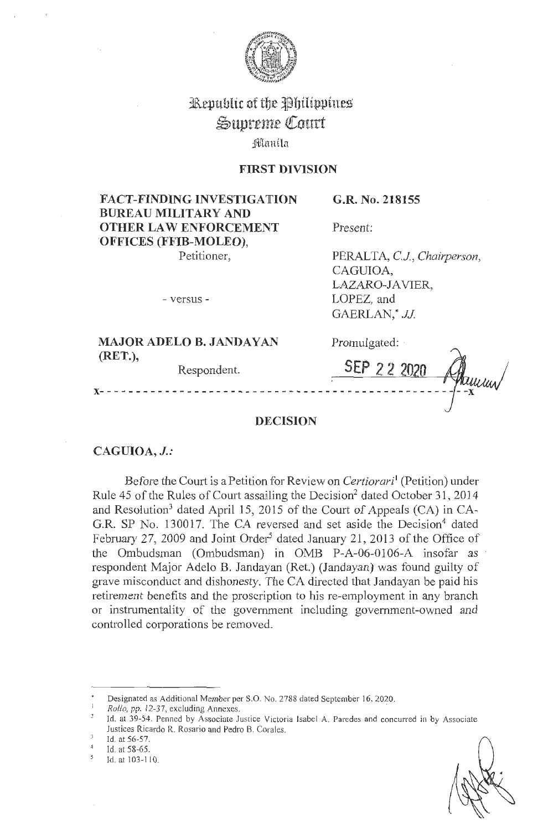

# Republic of the Philippines Supreme Court  $i$ Manila

# **FIRST DIVISION**

**FACT-FINDING INVESTIGATION BUREAU MILITARY AND OTHER LAW ENFORCEMENT 'OFFICES (FFIB-MOLEO),**  Petitioner,

**G.R. No. 218155** 

Present:

Promulgated:

PERALTA, C.J., Chairperson, CAGUIOA, LAZARO-IA VIER, LOPEZ, and GAERLAN,\* JJ

**SEP** *2* **2** *<sup>202</sup>*

- versus -

**MAJOR ADELO B. JANDAYAN (RET.),** 

Respondent.

# **x-** - - - - - - - - - - - - - - - - - - - - - - - - - - - - - - - - - - - - - - - - - - - - - - - - - **-x**

# **DECISION**

**CAGUIOA, J.:** 

Before the Court is a Petition for Review on *Certiorari* <sup>1</sup>(Petition) under Rule 45 of the Rules of Court assailing the Decision<sup>2</sup> dated October 31, 2014 and Resolution<sup>3</sup> dated April 15, 2015 of the Court of Appeals (CA) in CA-G.R. SP No. 130017. The CA reversed and set aside the Decision<sup>4</sup> dated February 27, 2009 and Joint Order<sup>5</sup> dated January 21, 2013 of the Office of the Ombudsman (Ombudsman) in 0MB P-A-06-0106-A insofar as respondent Major Adelo B. Jandayan (Ret.) (Jandayan) was found guilty of grave misconduct and dishonesty. The CA directed that Jandayan be paid his retirement benefits and the proscription to his re-employment in any branch or instrumentality of the government including government-owned and controlled corporations be removed.

• Designated as Additional Member per S.O. No. 2788 dated September 16, 2020.

Id. at 56-57.

<sup>1</sup>*Rollo,* pp. 12-37, excluding Annexes. ·

Id. at 39-54. Penned by Associate Justice Victoria Isabel A. Paredes and concurred in by Associate Justices Ricardo R. Rosario and Pedro B. Corales.

*<sup>4</sup>*Id. at 58-65.

Id. at 103-110.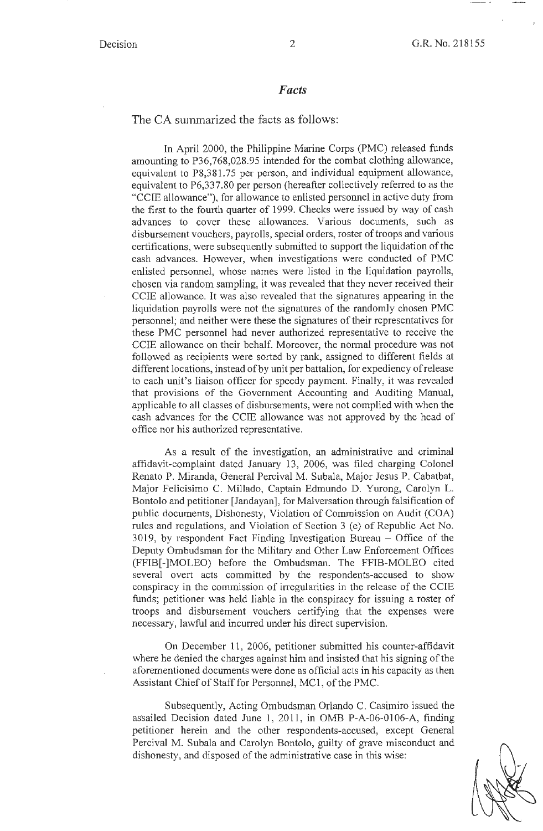#### *Facts*

The CA summarized the facts as follows:

In April 2000, the Philippine Marine Corps (PMC) released funds amounting to P36,768,028.95 intended for the combat clothing allowance, equivalent to P8,381.75 per person, and individual equipment allowance, equivalent to P6,337.80 per person (hereafter collectively referred to as the "CCIE allowance"), for allowance to enlisted personnel in active duty from the first to the fourth quarter of 1999. Checks were issued by way of cash advances to cover these allowances. Various documents, such as disbursement vouchers, payrolls, special orders, roster of troops and various certifications, were subsequently submitted to support the liquidation of the cash advances. However, when investigations were conducted of PMC enlisted personnel, whose names were listed in the liquidation payrolls, chosen via random sampling, it was revealed that they never received their CCIE allowance. It was also revealed that the signatures appearing in the liquidation payrolls were not the signatures of the randomly chosen PMC personnel; and neither were these the signatures of their representatives for these PMC personnel had never authorized representative to receive the CCIE allowance on their behalf. Moreover, the normal procedure was not followed as recipients were sorted by rank, assigned to different fields at different locations, instead of by unit per battalion, for expediency ofrelease to each unit's liaison officer for speedy payment. Finally, it was revealed that provisions of the Government Accounting and Auditing Manual, applicable to all classes of disbursements, were not complied with when the cash advances for the CCIE allowance was not approved by the head of office nor his authorized representative.

As a result of the investigation, an administrative and criminal affidavit-complaint dated January 13, 2006, was filed charging Colonel Renato P. Miranda, General Percival M. Subala, Major Jesus P. Cabatbat, Major Felicisimo C. Millado, Captain Edmundo D. Yurong, Carolyn L. Bontolo and petitioner [Jandayan), for Malversation through falsification of public documents, Dishonesty, Violation of Commission on Audit (COA) rules and regulations, and Violation of Section 3 (e) of Republic Act No.  $3019$ , by respondent Fact Finding Investigation Bureau  $-$  Office of the Deputy Ombudsman for the Military and Other Law Enforcement Offices (FFIB[-]MOLEO) before the Ombudsman. The FFIB-MOLEO cited several overt acts committed by the respondents-accused to show conspiracy in the commission of irregularities in the release of the CCIE funds; petitioner was held liable in the conspiracy for issuing a roster of troops and disbursement vouchers certifying that the expenses were necessary, lawful and incurred under his direct supervision.

On December 11, 2006, petitioner submitted his counter-affidavit where he denied the charges against him and insisted that his signing of the aforementioned documents were done as official acts in his capacity as then Assistant Chief of Staff for Personnel, MC1, of the PMC.

Subsequently, Acting Ombudsman Orlando C. Casimiro issued the assailed Decision dated June 1, 2011, in 0MB P-A-06-0106-A, finding petitioner herein and the other respondents-accused, except General Percival M. Subala and Carolyn Bontolo, guilty of grave misconduct and dishonesty, and disposed of the administrative case in this wise:

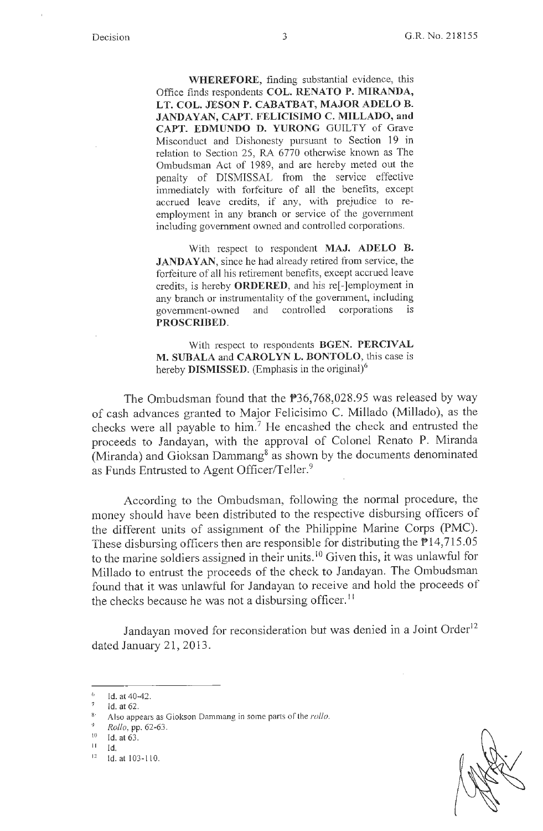**WHEREFORE,** finding substantial evidence, this Office finds respondents **COL. RENATO P. MIRANDA, LT. COL. JESON P. CABATBAT, MAJOR ADELO B. JANDAYAN, CAPT. FELICISIMO C. MILLADO, and CAPT. EDMUNDO D. YURONG** GUILTY of Grave Misconduct and Dishonesty pursuant to Section 19 in relation to Section 25, RA 6770 otherwise known as The Ombudsman Act of 1989, and are hereby meted out the penalty of DISMISSAL from the service effective immediately with forfeiture of all the benefits, except accrued leave credits, if any, with prejudice to reemployment in any branch or service of the government including government owned and controlled corporations.

With respect to respondent **MAJ. ADELO B.**  JANDAYAN, since he had already retired from service, the forfeiture of all his retirement benefits, except accrued leave credits, is hereby **ORDERED,** and his re[-]employment in any branch or instrumentality of the government, including government-owned and controlled corporations 1s **PROSCRIBED.** 

With respect to respondents **BGEN. PERCIVAL M. SUBALA** and **CAROLYN L. BONTOLO,** this case is hereby **DISMISSED**. (Emphasis in the original)<sup>6</sup>

The Ombudsman found that the P36,768,028.95 was released by way of cash advances granted to Major Felicisimo C. Millado (Millado ), as the checks were all payable to him.<sup>7</sup> He encashed the check and entrusted the proceeds to Jandayan, with the approval of Colonel Renato P. Miranda (Miranda) and Gioksan Dammang<sup>8</sup> as shown by the documents denominated as Funds Entrusted to Agent Officer/Teller.<sup>9</sup>

According to the Ombudsman, following the normal procedure, the money should have been distributed to the respective disbursing officers of the different units of assigmnent of the Philippine Marine Corps (PMC). These disbursing officers then are responsible for distributing the  $\overline{P}14,715.05$ to the marine soldiers assigned in their units.<sup>10</sup> Given this, it was unlawful for Millado to entrust the proceeds of the check to Jandayan. The Ombudsman found that it was unlawful for Jandayan to receive and hold the proceeds of the checks because he was not a disbursing officer.<sup>11</sup>

Jandayan moved for reconsideration but was denied in a Joint Order<sup>12</sup> dated January 21, 2013.



<sup>6</sup>  Id. at 40-42.

<sup>7</sup>  Id. at 62.

Also appears as Giokson Dammang in some parts of the *rollo*.

<sup>9</sup> *Rollo,* pp. 62-63.

 $10$  Id. at 63.

Id.

 $12$  Id. at  $103 - 110$ .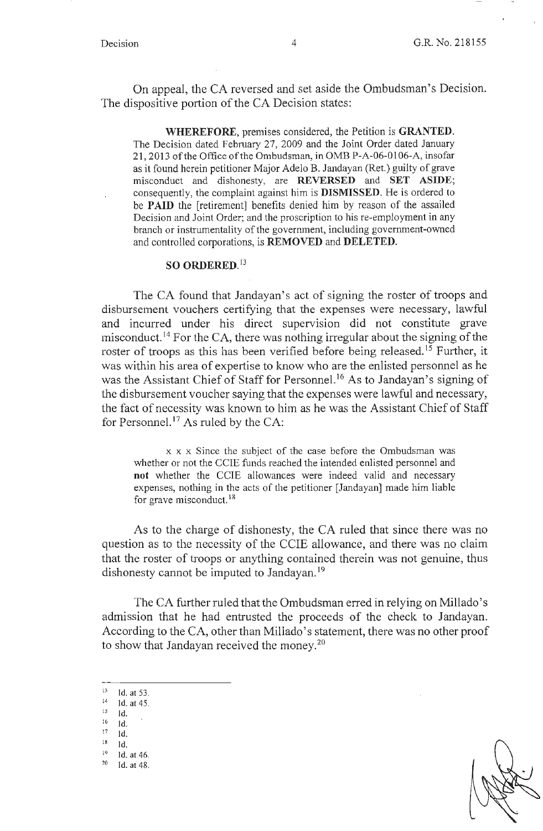On appeal, the CA reversed and set aside the Ombudsman's Decision. The dispositive portion of the CA Decision states:

**WHEREFORE,** premises considered, the Petition is **GRANTED.**  The Decision dated February 27, 2009 and the Joint Order dated January 21, 2013 of the Office of the Ombudsman, in 0MB P-A-06-0106-A, insofar as it found herein petitioner Major Adelo B. Jandayan (Ret.) guilty of grave misconduct and dishonesty, are **REVERSED and SET ASIDE;**  consequently, the complaint against him is **DISMISSED.** He is ordered to be **PAID** the [retirement] benefits denied him by reason of the assailed Decision and Joint Order; and the proscription to his re-employment in any branch or instrumentality of the government, including government-owned and controlled corporations, is **REMOVED** and **DELETED.** 

# **SO ORDERED.** <sup>13</sup>

The CA found that Jandayan's act of signing the roster of troops and disbursement vouchers certifying that the expenses were necessary, lawful and incurred under his direct supervision did not constitute grave misconduct.<sup>14</sup> For the CA, there was nothing irregular about the signing of the roster of troops as this has been verified before being released.<sup>15</sup> Further, it was within his area of expertise to know who are the enlisted personnel as he was the Assistant Chief of Staff for Personnel.<sup>16</sup> As to Jandayan's signing of the disbursement voucher saying that the expenses were lawful and necessary, the fact of necessity was known to him as he was the Assistant Chief of Staff for Personnel.<sup>17</sup> As ruled by the CA:

x x x Since the subject of the case before the Ombudsman was whether or not the CCIE funds reached the intended enlisted personnel and **not** whether the CCIE allowances were indeed valid and necessary expenses, nothing in the acts of the petitioner [Jandayan] made him liable for grave misconduct.<sup>18</sup>

As to the charge of dishonesty, the CA ruled that since there was no question as to the necessity of the CCIE allowance, and there was no claim that the roster of troops or anything contained therein was not genuine, thus dishonesty cannot be imputed to Jandayan.<sup>19</sup>

The CA further ruled that the Ombudsman erred in relying on Millado's admission that he had entrusted the proceeds of the check to Jandayan. According to the CA, other than Millado's statement, there was no other proof to show that Jandayan received the money.<sup>20</sup>

 $13$  Id. at 53.

 $^{14}$  Id. at 45.

Id.

 $16$  Id.  $17$  Id.

 $^{18}$  Id.

 $19$  Id. at 46.<br> $20$  Id. at 48.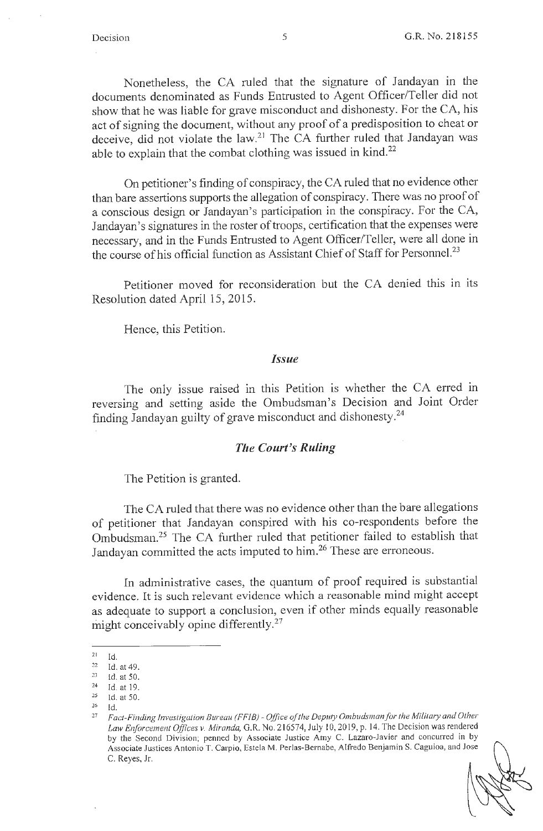Nonetheless, the CA ruled that the signature of Jandayan in the documents denominated as Funds Entrusted to Agent Officer/Teller did not show that he was liable for grave misconduct and dishonesty. For the CA, his act of signing the document, without any proof of a predisposition to cheat or deceive, did not violate the law.<sup>21</sup> The CA further ruled that Jandayan was able to explain that the combat clothing was issued in kind. $22$ 

On petitioner's finding of conspiracy, the CA ruled that no evidence other than bare assertions supports the allegation of conspiracy. There was no proof of a conscious design or Jandayan's participation in the conspiracy. For the CA, Jandayan's signatures in the roster of troops, certification that the expenses were necessary, and in the Funds Entrusted to Agent Officer/Teller, were all done in the course of his official function as Assistant Chief of Staff for Personnel.<sup>23</sup>

Petitioner moved for reconsideration but the CA denied this in its Resolution dated April 15, 2015.

Hence, this Petition.

#### *Issue*

The only issue raised in this Petition is whether the CA erred in reversing and setting aside the Ombudsman's Decision and Joint Order finding Jandayan guilty of grave misconduct and dishonesty. 24

## *The Court's Ruling*

The Petition is granted.

The CA ruled that there was no evidence other than the bare allegations of petitioner that Jandayan conspired with his co-respondents before the Ombudsman. 25 The CA further ruled that petitioner failed to establish that Jandayan committed the acts imputed to him.<sup>26</sup> These are erroneous.

In administrative cases, the quantum of proof required is substantial evidence. It is such relevant evidence which a reasonable mind might accept as adequate to support a conclusion, even if other minds equally reasonable might conceivably opine differently.<sup>27</sup>

 $^{21}$  Id.

<sup>22</sup>**Id. at49.** 

 $23$  Id. at 50. 24 Id. at 19.

<sup>25</sup> Id. at 50.

 $26$  Id.

<sup>&</sup>lt;sup>27</sup> Fact-Finding Investigation Bureau (FFIB) - Office of the Deputy Ombudsman for the Military and Other Law Enforcement Offices v. Miranda, G.R. No. 216574, July 10, 2019, p. 14. The Decision was rendered by the Second Division; penned by Associate Justice Amy C. Lazaro-Javier and concurred in by Associate Justices Antonio T. Carpio, Estela M. Perlas-Bernabe, A lfredo Benjamin S. Caguioa, and Jose C. Reyes, Jr.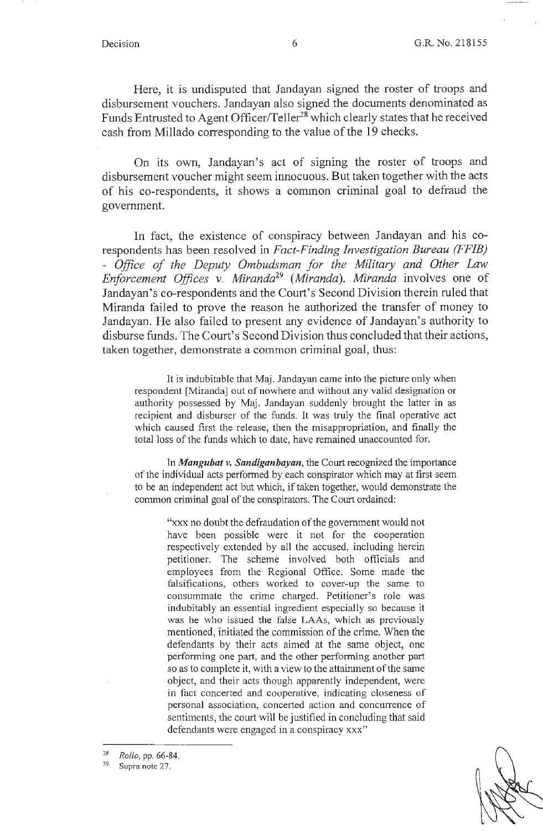Here, it is undisputed that Jandayan signed the roster of troops and disbursement vouchers. Jandayan also signed the documents denominated as Funds Entrusted to Agent Officer/Teller<sup>28</sup> which clearly states that he received cash from Millado corresponding to the value of the 19 checks.

On its own, Jandayan's act of signing the roster of troops and disbursement voucher might seem innocuous. But taken together with the acts of his co-respondents, it shows a common criminal goal to defraud the government.

In fact, the existence of conspiracy between Jandayan and his corespondents has been resolved in *Fact-Finding Investigation Bureau (FFIB)*  - *Office of the Deputy Ombudsman for the Military and Other Law Enforcement Offices v. Miranda29 (Miranda). Miranda* involves one of Jandayan's co-respondents and the Court's Second Division therein ruled that Miranda failed to prove the reason he authorized the transfer of money to Jandayan. He also failed to present any evidence of Jandayan's authority to disburse funds. The Court's Second Division thus concluded that their actions, taken together, demonstrate a common criminal goal, thus:

It is indubitable that Maj. Jandayan came into the picture only when respondent [Miranda] out of nowhere and without any valid designation or authority possessed by Maj. Jandayan suddenly brought the latter in as recipient and disburser of the funds. It was truly the final operative act which caused first the release, then the misappropriation, and finally the total loss of the funds which to date, have remained unaccounted for.

In *Mangubat v. Sandiganbayan*, the Court recognized the importance of the individual acts performed by each conspirator which may at first seem to be an independent act but which, if taken together, would demonstrate the common criminal goal of the conspirators. The Court ordained:

> "xxx no doubt the defraudation of the government would not have been possible were it not for the cooperation respectively extended by all the accused, including herein petitioner. The scheme involved both officials and employees from the Regional Office. Some made the falsifications, others worked to cover-up the same to consummate the crime charged. Petitioner's role was indubitably an essential ingredient especially so because it was he who issued the false LAAs, which as previously mentioned, initiated the commission of the crime. When the defendants by their acts aimed at the same object, one performing one part, and the other performing another part so as to complete it, with a view to the attainment of the same object, and their acts though apparently independent, were in fact concerted and cooperative, indicating closeness of personal association, concerted action and concurrence of sentiments, the court will be justified in concluding that said defendants were engaged in a conspiracy xxx"

 $29$  Supra note 27.

<sup>28</sup>*Rollo,* pp. 66-84.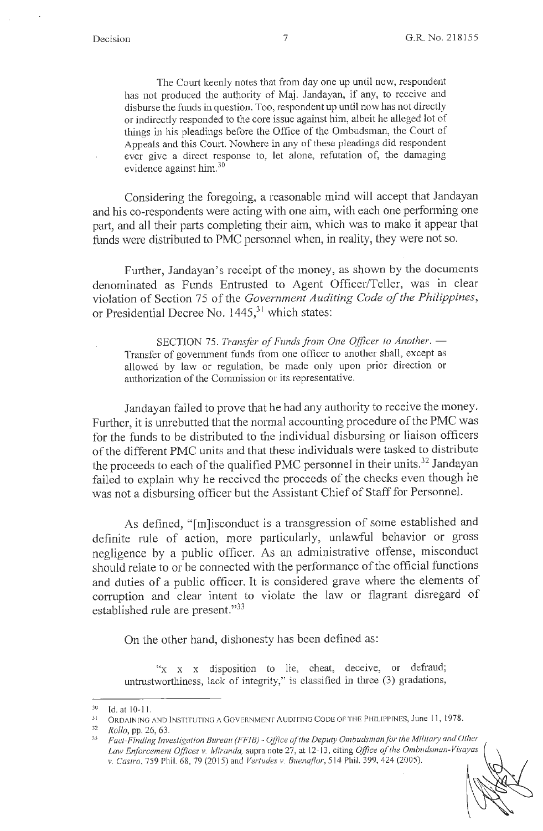The Court keenly notes that from day one up until now, respondent has not produced the authority of Maj. Jandayan, if any, to receive and disburse the funds in question. Too, respondent up until now has not directly or indirectly responded to the core issue against him, albeit he alleged lot of things in his pleadings before the Office of the Ombudsman, the Court of Appeals and this Court. Nowhere in any of these pleadings did respondent ever give a direct response to, let alone, refutation of, the damaging evidence against him.<sup>30</sup>

Considering the foregoing, a reasonable mind will accept that Jandayan and his co-respondents were acting with one aim, with each one perfonning one part, and all their parts completing their aim, which was to make it appear that funds were distributed to PMC personnel when, in reality, they were not so.

Further, Jandayan's receipt of the money, as shown by the documents denominated as Funds Entrusted to Agent Officer/Teller, was in clear violation of Section 75 of the *Government Auditing Code of the Philippines,*  or Presidential Decree No.  $1445$ <sup>31</sup> which states:

SECTION 75. *Transfer of Funds from One Officer to Another.* — Transfer of government funds from one officer to another shall, except as allowed by law or regulation, be made only upon prior direction or authorization of the Commission or its representative.

Jandayan failed to prove that he had any authority to receive the money. Further, it is unrebutted that the normal accounting procedure of the PMC was for the funds to be distributed to the individual disbursing or liaison officers of the different PMC units and that these individuals were tasked to distribute the proceeds to each of the qualified PMC personnel in their units.<sup>32</sup> Jandayan failed to explain why he received the proceeds of the checks even though he was not a disbursing officer but the Assistant Chief of Staff for Personnel.

As defined, "[m]isconduct is a transgression of some established and definite rule of action, more particularly, unlawful behavior or gross negligence by a public officer. As an administrative offense, misconduct should relate to or be connected with the performance of the official functions and duties of a public officer. It is considered grave where the elements of corruption and clear intent to violate the law or flagrant disregard of established rule are present."<sup>33</sup>

On the other hand, dishonesty has been defined as:

"x x x disposition to lie, cheat, deceive, or defraud; untrustworthiness, lack of integrity," is classified in three (3) gradations,

 $30$  Id. at 10-11.

<sup>31</sup> ORDAINING AND INSTITUTING A GOVERNMENT AUDITING CODE OF THE PHILIPPINES, June 11 , 1978.

<sup>32</sup>*Rollo,* pp. 26, 63.

*<sup>33</sup> Fact-Finding investigation Bureau (FF!B)- Office of the Deputy Ombudsman/or rhe Military and Other Law Enforcement Offices v. Miranda,* supra note 27, at 12- 13, citing *Office of the Ombudsman-Visayas v. Castro,* 759 Phil. 68, 79(2015) and *Vertudes v. Buenaflor,* 5 14 Phil. 399, 424 (2005).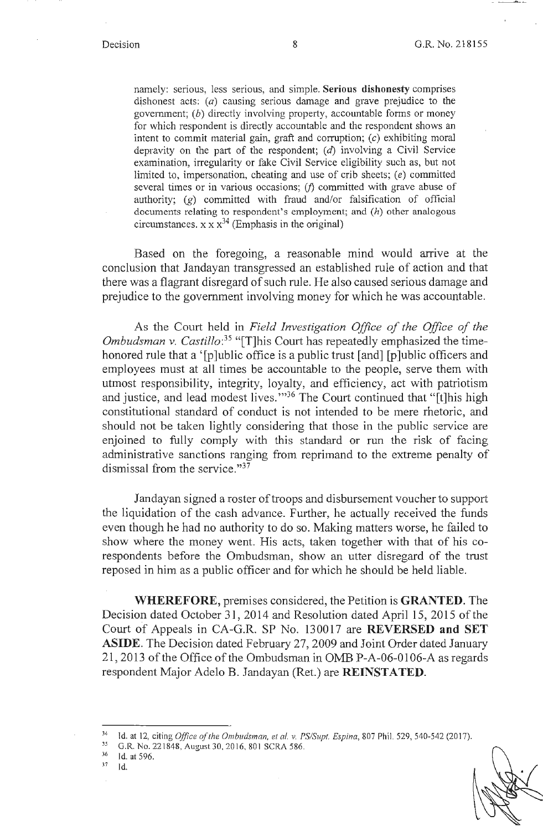namely: serious, less serious, and simple. **Serious dishonesty** comprises dishonest acts:  $(a)$  causing serious damage and grave prejudice to the government;  $(b)$  directly involving property, accountable forms or money for which respondent is directly accountable and the respondent shows an intent to commit material gain, graft and corruption;  $(c)$  exhibiting moral depravity on the part of the respondent;  $(d)$  involving a Civil Service examination, irregularity or fake Civil Service eligibility such as, but not limited to, impersonation, cheating and use of crib sheets; (e) committed several times or in various occasions; *(j)* committed with grave abuse of authority; (g) committed with fraud and/or falsification of official documents relating to respondent's employment; and  $(h)$  other analogous circumstances.  $x \times x^{34}$  (Emphasis in the original)

Based on the foregoing, a reasonable mind would arrive at the conclusion that Jandayan transgressed an established rule of action and that there was a flagrant disregard of such rule. He also caused serious damage and prejudice to the government involving money for which he was accountable.

As the Court held in *Field Investigation Office of the Office of the Ombudsman v. Castillo: 35* "[T]his Court has repeatedly emphasized the timehonored rule that a '[p]ublic office is a public trust [and] [p]ublic officers and employees must at all times be accountable to the people, serve them with utmost responsibility, integrity, loyalty, and efficiency, act with patriotism and justice, and lead modest lives."<sup>36</sup> The Court continued that "[t]his high constitutional standard of conduct is not intended to be mere rhetoric, and should not be taken lightly considering that those in the public service are enjoined to fully comply with this standard or run the risk of facing administrative sanctions ranging from reprimand to the extreme penalty of dismissal from the service."<sup>37</sup>

Jandayan signed a roster of troops and disbursement voucher to support the liquidation of the cash advance. Further, he actually received the funds even though he had no authority to do so. Making matters worse, he failed to show where the money went. His acts, taken together with that of his corespondents before the Ombudsman, show an utter disregard of the trust reposed in him as a public officer and for which he should be held liable.

**WHEREFORE,** premises considered, the Petition is **GRANTED.** The Decision dated October 31, 2014 and Resolution dated April 15, 2015 of the Court of Appeals in CA-G.R. SP No. 130017 are **REVERSED. and SET ASIDE.** The Decision dated February 27, 2009 and Joint Order dated January 21, 2013 of the Office of the Ombudsman in OMB P-A-06-0106-A as regards respondent Major Adelo B. Jandayan (Ret.) are **REINSTATED.** 

<sup>34</sup> Id. at 12, citing *Office of the Ombudsman, et al.* v. *PS/Supt. Espina,* 807 Phil. 529, 540-542 (2017). 35 G.R. No. 221848, August 30, 2016, 801 SCRA 586. 36 Id. at 596. 37 Id.